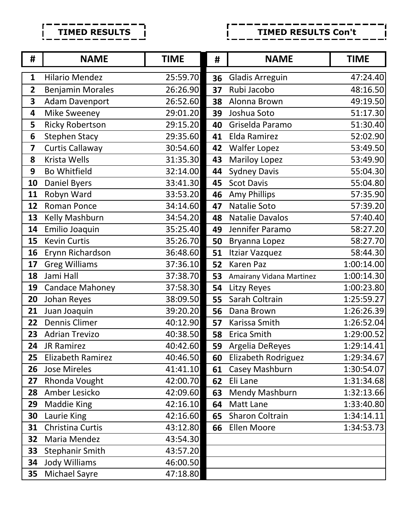**TIMED RESULTS** Г  $\mathbf I$ 

## **TIMED RESULTS Con't**Г

| #                       | <b>NAME</b>              | <b>TIME</b> | #  | <b>NAME</b>              | <b>TIME</b> |
|-------------------------|--------------------------|-------------|----|--------------------------|-------------|
| $\mathbf{1}$            | <b>Hilario Mendez</b>    | 25:59.70    | 36 | <b>Gladis Arreguin</b>   | 47:24.40    |
| $\overline{2}$          | <b>Benjamin Morales</b>  | 26:26.90    | 37 | Rubi Jacobo              | 48:16.50    |
| 3                       | <b>Adam Davenport</b>    | 26:52.60    | 38 | Alonna Brown             | 49:19.50    |
| 4                       | <b>Mike Sweeney</b>      | 29:01.20    | 39 | Joshua Soto              | 51:17.30    |
| 5                       | <b>Ricky Robertson</b>   | 29:15.20    | 40 | Griselda Paramo          | 51:30.40    |
| 6                       | <b>Stephen Stacy</b>     | 29:35.60    | 41 | Elda Ramirez             | 52:02.90    |
| $\overline{\mathbf{z}}$ | <b>Curtis Callaway</b>   | 30:54.60    | 42 | <b>Walfer Lopez</b>      | 53:49.50    |
| 8                       | Krista Wells             | 31:35.30    | 43 | <b>Mariloy Lopez</b>     | 53:49.90    |
| 9                       | <b>Bo Whitfield</b>      | 32:14.00    | 44 | <b>Sydney Davis</b>      | 55:04.30    |
| 10                      | <b>Daniel Byers</b>      | 33:41.30    | 45 | <b>Scot Davis</b>        | 55:04.80    |
| 11                      | Robyn Ward               | 33:53.20    | 46 | Amy Phillips             | 57:35.90    |
| 12                      | Roman Ponce              | 34:14.60    | 47 | Natalie Soto             | 57:39.20    |
| 13                      | Kelly Mashburn           | 34:54.20    | 48 | <b>Natalie Davalos</b>   | 57:40.40    |
| 14                      | Emilio Joaquin           | 35:25.40    | 49 | Jennifer Paramo          | 58:27.20    |
| 15                      | <b>Kevin Curtis</b>      | 35:26.70    | 50 | Bryanna Lopez            | 58:27.70    |
| 16                      | Erynn Richardson         | 36:48.60    | 51 | Itziar Vazquez           | 58:44.30    |
| 17                      | <b>Greg Williams</b>     | 37:36.10    | 52 | Karen Paz                | 1:00:14.00  |
| 18                      | Jami Hall                | 37:38.70    | 53 | Amairany Vidana Martinez | 1:00:14.30  |
| 19                      | <b>Candace Mahoney</b>   | 37:58.30    | 54 | Litzy Reyes              | 1:00:23.80  |
| 20                      | Johan Reyes              | 38:09.50    | 55 | Sarah Coltrain           | 1:25:59.27  |
| 21                      | Juan Joaquin             | 39:20.20    | 56 | Dana Brown               | 1:26:26.39  |
| 22                      | Dennis Climer            | 40:12.90    | 57 | Karissa Smith            | 1:26:52.04  |
| 23                      | <b>Adrian Trevizo</b>    | 40:38.50    | 58 | Erica Smith              | 1:29:00.52  |
| 24                      | JR Ramirez               | 40:42.60    | 59 | Argelia DeReyes          | 1:29:14.41  |
| 25                      | <b>Elizabeth Ramirez</b> | 40:46.50    | 60 | Elizabeth Rodriguez      | 1:29:34.67  |
| 26                      | <b>Jose Mireles</b>      | 41:41.10    | 61 | Casey Mashburn           | 1:30:54.07  |
| 27                      | Rhonda Vought            | 42:00.70    | 62 | Eli Lane                 | 1:31:34.68  |
| 28                      | Amber Lesicko            | 42:09.60    | 63 | Mendy Mashburn           | 1:32:13.66  |
| 29                      | <b>Maddie King</b>       | 42:16.10    | 64 | Matt Lane                | 1:33:40.80  |
| 30                      | Laurie King              | 42:16.60    | 65 | Sharon Coltrain          | 1:34:14.11  |
| 31                      | Christina Curtis         | 43:12.80    | 66 | Ellen Moore              | 1:34:53.73  |
| 32                      | Maria Mendez             | 43:54.30    |    |                          |             |
| 33                      | <b>Stephanir Smith</b>   | 43:57.20    |    |                          |             |
| 34                      | <b>Jody Williams</b>     | 46:00.50    |    |                          |             |
| 35                      | Michael Sayre            | 47:18.80    |    |                          |             |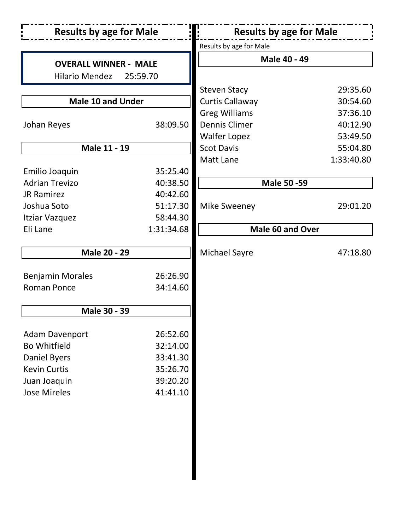| <b>Results by age for Male</b> |            | <b>Results by age for Male</b> |            |  |
|--------------------------------|------------|--------------------------------|------------|--|
|                                |            | Results by age for Male        |            |  |
| <b>OVERALL WINNER - MALE</b>   |            | <b>Male 40 - 49</b>            |            |  |
| <b>Hilario Mendez</b>          | 25:59.70   |                                |            |  |
|                                |            | <b>Steven Stacy</b>            | 29:35.60   |  |
| <b>Male 10 and Under</b>       |            | <b>Curtis Callaway</b>         | 30:54.60   |  |
|                                |            | <b>Greg Williams</b>           | 37:36.10   |  |
| Johan Reyes                    | 38:09.50   | <b>Dennis Climer</b>           | 40:12.90   |  |
|                                |            | <b>Walfer Lopez</b>            | 53:49.50   |  |
| Male 11 - 19                   |            | <b>Scot Davis</b>              | 55:04.80   |  |
|                                |            | Matt Lane                      | 1:33:40.80 |  |
| Emilio Joaquin                 | 35:25.40   |                                |            |  |
| <b>Adrian Trevizo</b>          | 40:38.50   | <b>Male 50 - 59</b>            |            |  |
| <b>JR Ramirez</b>              | 40:42.60   |                                |            |  |
| Joshua Soto                    | 51:17.30   | <b>Mike Sweeney</b>            | 29:01.20   |  |
| Itziar Vazquez                 | 58:44.30   |                                |            |  |
| Eli Lane                       | 1:31:34.68 | Male 60 and Over               |            |  |
|                                |            |                                |            |  |
| <b>Male 20 - 29</b>            |            | <b>Michael Sayre</b>           | 47:18.80   |  |
|                                |            |                                |            |  |
| <b>Benjamin Morales</b>        | 26:26.90   |                                |            |  |
| <b>Roman Ponce</b>             | 34:14.60   |                                |            |  |
| Male 30 - 39                   |            |                                |            |  |
| <b>Adam Davenport</b>          | 26:52.60   |                                |            |  |
| <b>Bo Whitfield</b>            | 32:14.00   |                                |            |  |
| <b>Daniel Byers</b>            | 33:41.30   |                                |            |  |
| <b>Kevin Curtis</b>            | 35:26.70   |                                |            |  |
| Juan Joaquin                   | 39:20.20   |                                |            |  |
| <b>Jose Mireles</b>            | 41:41.10   |                                |            |  |
|                                |            |                                |            |  |
|                                |            |                                |            |  |
|                                |            |                                |            |  |
|                                |            |                                |            |  |
|                                |            |                                |            |  |
|                                |            |                                |            |  |
|                                |            |                                |            |  |
|                                |            |                                |            |  |